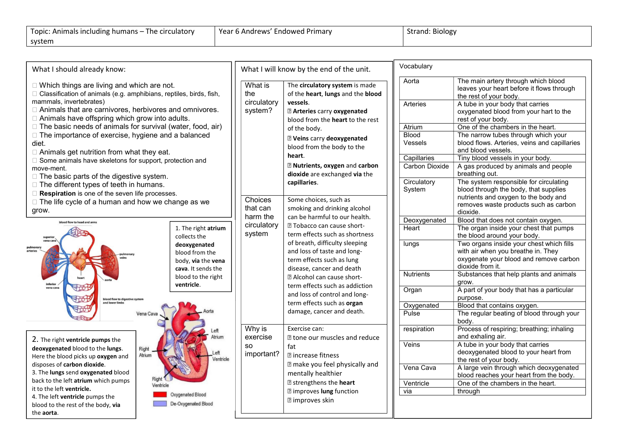| What I should already know:                                                                                                                                                                                 | What I will know by the end of the unit.                                                                                                                          | Vocabulary                           |                                                                                                                                                                                          |
|-------------------------------------------------------------------------------------------------------------------------------------------------------------------------------------------------------------|-------------------------------------------------------------------------------------------------------------------------------------------------------------------|--------------------------------------|------------------------------------------------------------------------------------------------------------------------------------------------------------------------------------------|
| □ Which things are living and which are not.<br>□ Classification of animals (e.g. amphibians, reptiles, birds, fish,<br>mammals, invertebrates)<br>□ Animals that are carnivores, herbivores and omnivores. | What is<br>The circulatory system is made<br>the<br>of the heart, lungs and the blood<br>circulatory<br>vessels.<br>system?<br><b>Z</b> Arteries carry oxygenated | Aorta<br>Arteries                    | The main artery through which blood<br>leaves your heart before it flows through<br>the rest of your body.<br>A tube in your body that carries<br>oxygenated blood from your hart to the |
| □ Animals have offspring which grow into adults.                                                                                                                                                            | blood from the heart to the rest                                                                                                                                  |                                      | rest of your body.                                                                                                                                                                       |
| $\Box$ The basic needs of animals for survival (water, food, air)<br>□ The importance of exercise, hygiene and a balanced<br>diet.                                                                          | of the body.<br><b>Z Veins carry deoxygenated</b><br>blood from the body to the                                                                                   | Atrium<br><b>Blood</b><br>Vessels    | One of the chambers in the heart.<br>The narrow tubes through which your<br>blood flows. Arteries, veins and capillaries                                                                 |
| $\Box$ Animals get nutrition from what they eat.                                                                                                                                                            | heart.                                                                                                                                                            |                                      | and blood vessels.<br>Tiny blood vessels in your body.                                                                                                                                   |
| □ Some animals have skeletons for support, protection and<br>move-ment.<br>$\Box$ The basic parts of the digestive system.                                                                                  | <b>Z Nutrients, oxygen and carbon</b><br>dioxide are exchanged via the                                                                                            | Capillaries<br><b>Carbon Dioxide</b> | A gas produced by animals and people<br>breathing out.                                                                                                                                   |
| $\Box$ The different types of teeth in humans.<br>Respiration is one of the seven life processes.                                                                                                           | capillaries.                                                                                                                                                      | Circulatory<br>System                | The system responsible for circulating<br>blood through the body, that supplies<br>nutrients and oxygen to the body and                                                                  |
| □ The life cycle of a human and how we change as we<br>grow.                                                                                                                                                | Choices<br>Some choices, such as<br>that can<br>smoking and drinking alcohol<br>harm the<br>can be harmful to our health.                                         |                                      | removes waste products such as carbon<br>dioxide.                                                                                                                                        |
| blood flow to head and arm                                                                                                                                                                                  | circulatory<br><b>2 Tobacco can cause short-</b>                                                                                                                  | Deoxygenated                         | Blood that does not contain oxygen.                                                                                                                                                      |
| 1. The right atrium<br>collects the                                                                                                                                                                         | system<br>term effects such as shortness                                                                                                                          | Heart                                | The organ inside your chest that pumps<br>the blood around your body.                                                                                                                    |
| deoxygenated<br>blood from the<br>body, via the vena<br>cava. It sends the                                                                                                                                  | of breath, difficulty sleeping<br>and loss of taste and long-<br>term effects such as lung<br>disease, cancer and death                                           | lungs                                | Two organs inside your chest which fills<br>with air when you breathe in. They<br>oxygenate your blood and remove carbon<br>dioxide from it.                                             |
| blood to the right<br>ventricle.                                                                                                                                                                            | a Alcohol can cause short-                                                                                                                                        | <b>Nutrients</b>                     | Substances that help plants and animals<br>grow.                                                                                                                                         |
| vena cava                                                                                                                                                                                                   | term effects such as addiction<br>and loss of control and long-                                                                                                   | Organ                                | A part of your body that has a particular<br>purpose.                                                                                                                                    |
|                                                                                                                                                                                                             | term effects such as organ                                                                                                                                        | Oxygenated                           | Blood that contains oxygen.                                                                                                                                                              |
| Vena Cava                                                                                                                                                                                                   | damage, cancer and death.                                                                                                                                         | Pulse                                | The regular beating of blood through your<br>body.                                                                                                                                       |
| 2. The right ventricle pumps the                                                                                                                                                                            | Why is<br>Exercise can:<br>exercise<br><b>I</b> tone our muscles and reduce                                                                                       | respiration                          | Process of respiring; breathing; inhaling<br>and exhaling air.                                                                                                                           |
| deoxygenated blood to the lungs.<br>Right<br>Atrium<br>Here the blood picks up oxygen and                                                                                                                   | <b>SO</b><br>fat<br>important?<br><b>Z</b> increase fitness<br>Ventricle                                                                                          | Veins                                | A tube in your body that carries<br>deoxygenated blood to your heart from<br>the rest of your body.                                                                                      |
| disposes of carbon dioxide.<br>3. The lungs send oxygenated blood<br>back to the left atrium which pumps                                                                                                    | <b>Z</b> make you feel physically and<br>mentally healthier                                                                                                       | Vena Cava                            | A large vein through which deoxygenated<br>blood reaches your heart from the body.                                                                                                       |
| Ventricle<br>it to the left ventricle.                                                                                                                                                                      | <b>Z</b> strengthens the heart                                                                                                                                    | Ventricle                            | One of the chambers in the heart.                                                                                                                                                        |
| Oxygenated Blood<br>4. The left ventricle pumps the                                                                                                                                                         | <b>Z</b> improves lung function                                                                                                                                   | via                                  | through                                                                                                                                                                                  |
| De-Oxygenated Blood<br>blood to the rest of the body, via<br>the aorta.                                                                                                                                     | <b>Z</b> improves skin                                                                                                                                            |                                      |                                                                                                                                                                                          |